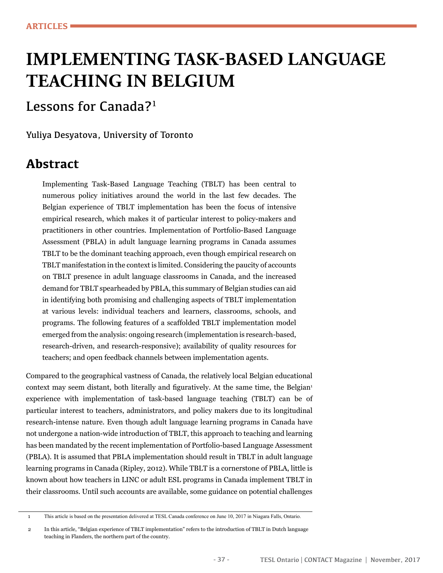# **IMPLEMENTING TASK-BASED LANGUAGE TEACHING IN BELGIUM**

## Lessons for Canada?<sup>1</sup>

Yuliya Desyatova, University of Toronto

### **Abstract**

Implementing Task-Based Language Teaching (TBLT) has been central to numerous policy initiatives around the world in the last few decades. The Belgian experience of TBLT implementation has been the focus of intensive empirical research, which makes it of particular interest to policy-makers and practitioners in other countries. Implementation of Portfolio-Based Language Assessment (PBLA) in adult language learning programs in Canada assumes TBLT to be the dominant teaching approach, even though empirical research on TBLT manifestation in the context is limited. Considering the paucity of accounts on TBLT presence in adult language classrooms in Canada, and the increased demand for TBLT spearheaded by PBLA, this summary of Belgian studies can aid in identifying both promising and challenging aspects of TBLT implementation at various levels: individual teachers and learners, classrooms, schools, and programs. The following features of a scaffolded TBLT implementation model emerged from the analysis: ongoing research (implementation is research-based, research-driven, and research-responsive); availability of quality resources for teachers; and open feedback channels between implementation agents.

Compared to the geographical vastness of Canada, the relatively local Belgian educational context may seem distant, both literally and figuratively. At the same time, the Belgian<sup>1</sup> experience with implementation of task-based language teaching (TBLT) can be of particular interest to teachers, administrators, and policy makers due to its longitudinal research-intense nature. Even though adult language learning programs in Canada have not undergone a nation-wide introduction of TBLT, this approach to teaching and learning has been mandated by the recent implementation of Portfolio-based Language Assessment (PBLA). It is assumed that PBLA implementation should result in TBLT in adult language learning programs in Canada (Ripley, 2012). While TBLT is a cornerstone of PBLA, little is known about how teachers in LINC or adult ESL programs in Canada implement TBLT in their classrooms. Until such accounts are available, some guidance on potential challenges

<sup>1</sup> This article is based on the presentation delivered at TESL Canada conference on June 10, 2017 in Niagara Falls, Ontario.

<sup>2</sup> In this article, "Belgian experience of TBLT implementation" refers to the introduction of TBLT in Dutch language teaching in Flanders, the northern part of the country.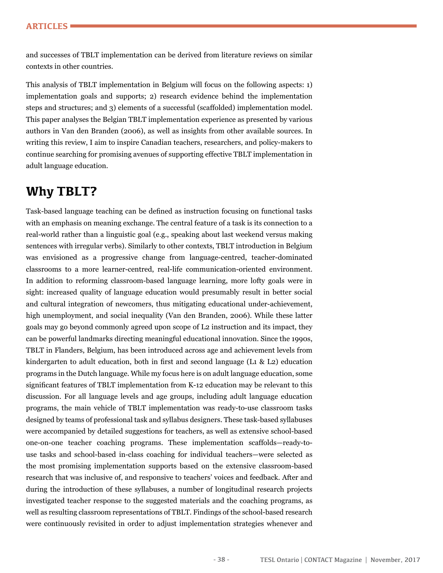and successes of TBLT implementation can be derived from literature reviews on similar contexts in other countries.

This analysis of TBLT implementation in Belgium will focus on the following aspects: 1) implementation goals and supports; 2) research evidence behind the implementation steps and structures; and 3) elements of a successful (scaffolded) implementation model. This paper analyses the Belgian TBLT implementation experience as presented by various authors in Van den Branden (2006), as well as insights from other available sources. In writing this review, I aim to inspire Canadian teachers, researchers, and policy-makers to continue searching for promising avenues of supporting effective TBLT implementation in adult language education.

### **Why TBLT?**

Task-based language teaching can be defned as instruction focusing on functional tasks with an emphasis on meaning exchange. The central feature of a task is its connection to a real-world rather than a linguistic goal (e.g., speaking about last weekend versus making sentences with irregular verbs). Similarly to other contexts, TBLT introduction in Belgium was envisioned as a progressive change from language-centred, teacher-dominated classrooms to a more learner-centred, real-life communication-oriented environment. In addition to reforming classroom-based language learning, more lofty goals were in sight: increased quality of language education would presumably result in better social and cultural integration of newcomers, thus mitigating educational under-achievement, high unemployment, and social inequality (Van den Branden, 2006). While these latter goals may go beyond commonly agreed upon scope of L2 instruction and its impact, they can be powerful landmarks directing meaningful educational innovation. Since the 1990s, TBLT in Flanders, Belgium, has been introduced across age and achievement levels from kindergarten to adult education, both in frst and second language (L1 & L2) education programs in the Dutch language. While my focus here is on adult language education, some signifcant features of TBLT implementation from K-12 education may be relevant to this discussion. For all language levels and age groups, including adult language education programs, the main vehicle of TBLT implementation was ready-to-use classroom tasks designed by teams of professional task and syllabus designers. These task-based syllabuses were accompanied by detailed suggestions for teachers, as well as extensive school-based one-on-one teacher coaching programs. These implementation scaffolds—ready-touse tasks and school-based in-class coaching for individual teachers—were selected as the most promising implementation supports based on the extensive classroom-based research that was inclusive of, and responsive to teachers' voices and feedback. After and during the introduction of these syllabuses, a number of longitudinal research projects investigated teacher response to the suggested materials and the coaching programs, as well as resulting classroom representations of TBLT. Findings of the school-based research were continuously revisited in order to adjust implementation strategies whenever and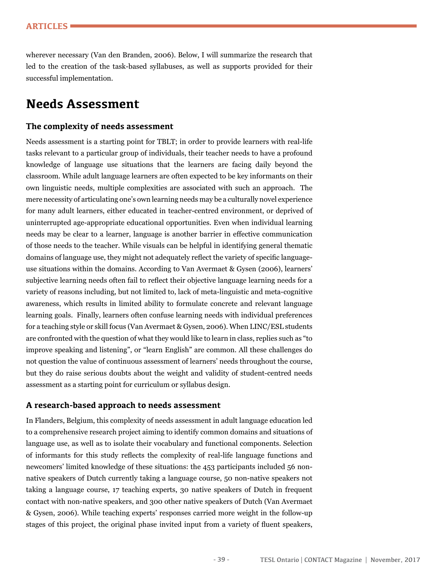wherever necessary (Van den Branden, 2006). Below, I will summarize the research that led to the creation of the task-based syllabuses, as well as supports provided for their successful implementation.

### **Needs Assessment**

#### **The complexity of needs assessment**

Needs assessment is a starting point for TBLT; in order to provide learners with real-life tasks relevant to a particular group of individuals, their teacher needs to have a profound knowledge of language use situations that the learners are facing daily beyond the classroom. While adult language learners are often expected to be key informants on their own linguistic needs, multiple complexities are associated with such an approach. The mere necessity of articulating one's own learning needs may be a culturally novel experience for many adult learners, either educated in teacher-centred environment, or deprived of uninterrupted age-appropriate educational opportunities. Even when individual learning needs may be clear to a learner, language is another barrier in effective communication of those needs to the teacher. While visuals can be helpful in identifying general thematic domains of language use, they might not adequately refect the variety of specifc languageuse situations within the domains. According to Van Avermaet & Gysen (2006), learners' subjective learning needs often fail to refect their objective language learning needs for a variety of reasons including, but not limited to, lack of meta-linguistic and meta-cognitive awareness, which results in limited ability to formulate concrete and relevant language learning goals. Finally, learners often confuse learning needs with individual preferences for a teaching style or skill focus (Van Avermaet & Gysen, 2006). When LINC/ESL students are confronted with the question of what they would like to learn in class, replies such as "to improve speaking and listening", or "learn English" are common. All these challenges do not question the value of continuous assessment of learners' needs throughout the course, but they do raise serious doubts about the weight and validity of student-centred needs assessment as a starting point for curriculum or syllabus design.

#### **A research-based approach to needs assessment**

In Flanders, Belgium, this complexity of needs assessment in adult language education led to a comprehensive research project aiming to identify common domains and situations of language use, as well as to isolate their vocabulary and functional components. Selection of informants for this study refects the complexity of real-life language functions and newcomers' limited knowledge of these situations: the 453 participants included 56 nonnative speakers of Dutch currently taking a language course, 50 non-native speakers not taking a language course, 17 teaching experts, 30 native speakers of Dutch in frequent contact with non-native speakers, and 300 other native speakers of Dutch (Van Avermaet & Gysen, 2006). While teaching experts' responses carried more weight in the follow-up stages of this project, the original phase invited input from a variety of fuent speakers,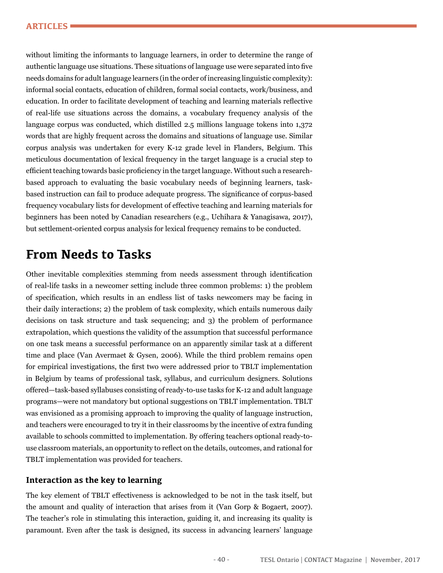without limiting the informants to language learners, in order to determine the range of authentic language use situations. These situations of language use were separated into fve needs domains for adult language learners (in the order of increasing linguistic complexity): informal social contacts, education of children, formal social contacts, work/business, and education. In order to facilitate development of teaching and learning materials refective of real-life use situations across the domains, a vocabulary frequency analysis of the language corpus was conducted, which distilled 2.5 millions language tokens into 1,372 words that are highly frequent across the domains and situations of language use. Similar corpus analysis was undertaken for every K-12 grade level in Flanders, Belgium. This meticulous documentation of lexical frequency in the target language is a crucial step to effcient teaching towards basic profciency in the target language. Without such a researchbased approach to evaluating the basic vocabulary needs of beginning learners, taskbased instruction can fail to produce adequate progress. The signifcance of corpus-based frequency vocabulary lists for development of effective teaching and learning materials for beginners has been noted by Canadian researchers (e.g., Uchihara & Yanagisawa, 2017), but settlement-oriented corpus analysis for lexical frequency remains to be conducted.

#### **From Needs to Tasks**

Other inevitable complexities stemming from needs assessment through identifcation of real-life tasks in a newcomer setting include three common problems: 1) the problem of specifcation, which results in an endless list of tasks newcomers may be facing in their daily interactions; 2) the problem of task complexity, which entails numerous daily decisions on task structure and task sequencing; and 3) the problem of performance extrapolation, which questions the validity of the assumption that successful performance on one task means a successful performance on an apparently similar task at a different time and place (Van Avermaet & Gysen, 2006). While the third problem remains open for empirical investigations, the frst two were addressed prior to TBLT implementation in Belgium by teams of professional task, syllabus, and curriculum designers. Solutions offered—task-based syllabuses consisting of ready-to-use tasks for K-12 and adult language programs—were not mandatory but optional suggestions on TBLT implementation. TBLT was envisioned as a promising approach to improving the quality of language instruction, and teachers were encouraged to try it in their classrooms by the incentive of extra funding available to schools committed to implementation. By offering teachers optional ready-touse classroom materials, an opportunity to refect on the details, outcomes, and rational for TBLT implementation was provided for teachers.

#### **Interaction as the key to learning**

The key element of TBLT effectiveness is acknowledged to be not in the task itself, but the amount and quality of interaction that arises from it (Van Gorp & Bogaert, 2007). The teacher's role in stimulating this interaction, guiding it, and increasing its quality is paramount. Even after the task is designed, its success in advancing learners' language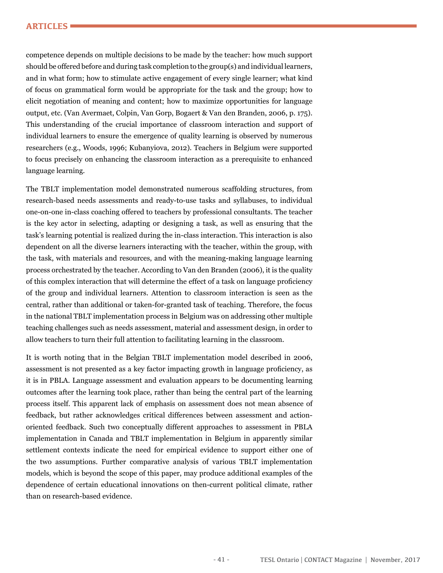#### **ARTICLES**

competence depends on multiple decisions to be made by the teacher: how much support should be offered before and during task completion to the group(s) and individual learners, and in what form; how to stimulate active engagement of every single learner; what kind of focus on grammatical form would be appropriate for the task and the group; how to elicit negotiation of meaning and content; how to maximize opportunities for language output, etc. (Van Avermaet, Colpin, Van Gorp, Bogaert & Van den Branden, 2006, p. 175). This understanding of the crucial importance of classroom interaction and support of individual learners to ensure the emergence of quality learning is observed by numerous researchers (e.g., Woods, 1996; Kubanyiova, 2012). Teachers in Belgium were supported to focus precisely on enhancing the classroom interaction as a prerequisite to enhanced language learning.

The TBLT implementation model demonstrated numerous scaffolding structures, from research-based needs assessments and ready-to-use tasks and syllabuses, to individual one-on-one in-class coaching offered to teachers by professional consultants. The teacher is the key actor in selecting, adapting or designing a task, as well as ensuring that the task's learning potential is realized during the in-class interaction. This interaction is also dependent on all the diverse learners interacting with the teacher, within the group, with the task, with materials and resources, and with the meaning-making language learning process orchestrated by the teacher. According to Van den Branden (2006), it is the quality of this complex interaction that will determine the effect of a task on language profciency of the group and individual learners. Attention to classroom interaction is seen as the central, rather than additional or taken-for-granted task of teaching. Therefore, the focus in the national TBLT implementation process in Belgium was on addressing other multiple teaching challenges such as needs assessment, material and assessment design, in order to allow teachers to turn their full attention to facilitating learning in the classroom.

It is worth noting that in the Belgian TBLT implementation model described in 2006, assessment is not presented as a key factor impacting growth in language profciency, as it is in PBLA. Language assessment and evaluation appears to be documenting learning outcomes after the learning took place, rather than being the central part of the learning process itself. This apparent lack of emphasis on assessment does not mean absence of feedback, but rather acknowledges critical differences between assessment and actionoriented feedback. Such two conceptually different approaches to assessment in PBLA implementation in Canada and TBLT implementation in Belgium in apparently similar settlement contexts indicate the need for empirical evidence to support either one of the two assumptions. Further comparative analysis of various TBLT implementation models, which is beyond the scope of this paper, may produce additional examples of the dependence of certain educational innovations on then-current political climate, rather than on research-based evidence.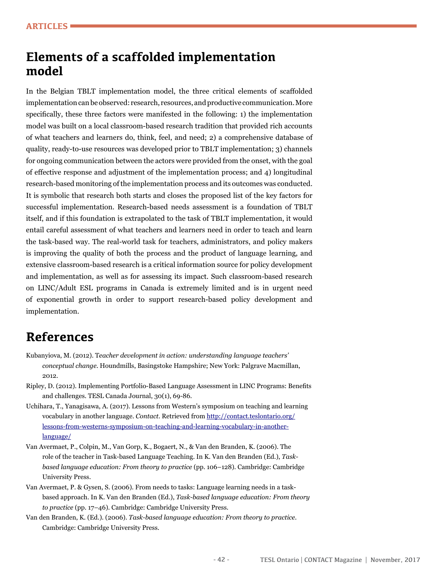### **Elements of a scaffolded implementation model**

In the Belgian TBLT implementation model, the three critical elements of scaffolded implementation can be observed: research, resources, and productive communication. More specifcally, these three factors were manifested in the following: 1) the implementation model was built on a local classroom-based research tradition that provided rich accounts of what teachers and learners do, think, feel, and need; 2) a comprehensive database of quality, ready-to-use resources was developed prior to TBLT implementation; 3) channels for ongoing communication between the actors were provided from the onset, with the goal of effective response and adjustment of the implementation process; and 4) longitudinal research-based monitoring of the implementation process and its outcomes was conducted. It is symbolic that research both starts and closes the proposed list of the key factors for successful implementation. Research-based needs assessment is a foundation of TBLT itself, and if this foundation is extrapolated to the task of TBLT implementation, it would entail careful assessment of what teachers and learners need in order to teach and learn the task-based way. The real-world task for teachers, administrators, and policy makers is improving the quality of both the process and the product of language learning, and extensive classroom-based research is a critical information source for policy development and implementation, as well as for assessing its impact. Such classroom-based research on LINC/Adult ESL programs in Canada is extremely limited and is in urgent need of exponential growth in order to support research-based policy development and implementation.

### **References**

- Kubanyiova, M. (2012). T*eacher development in action: understanding language teachers' conceptual change.* Houndmills, Basingstoke Hampshire; New York: Palgrave Macmillan, 2012.
- Ripley, D. (2012). Implementing Portfolio-Based Language Assessment in LINC Programs: Benefts and challenges. TESL Canada Journal, 30(1), 69-86.
- Uchihara, T., Yanagisawa, A. (2017). Lessons from Western's symposium on teaching and learning vocabulary in another language. *Contact*. Retrieved from [http://contact.teslontario.org/](http://contact.teslontario.org/lessons-from-westerns-symposium-on-teaching-and-learning-vocabulary-in-another-language/) [lessons-from-westerns-symposium-on-teaching-and-learning-vocabulary-in-another](http://contact.teslontario.org/lessons-from-westerns-symposium-on-teaching-and-learning-vocabulary-in-another-language/)[language/](http://contact.teslontario.org/lessons-from-westerns-symposium-on-teaching-and-learning-vocabulary-in-another-language/)
- Van Avermaet, P., Colpin, M., Van Gorp, K., Bogaert, N., & Van den Branden, K. (2006). The role of the teacher in Task-based Language Teaching. In K. Van den Branden (Ed.), *Taskbased language education: From theory to practice* (pp. 106–128). Cambridge: Cambridge University Press.
- Van Avermaet, P. & Gysen, S. (2006). From needs to tasks: Language learning needs in a taskbased approach. In K. Van den Branden (Ed.), *Task-based language education: From theory to practice* (pp. 17–46). Cambridge: Cambridge University Press.
- Van den Branden, K. (Ed.). (2006). *Task-based language education: From theory to practice*. Cambridge: Cambridge University Press.